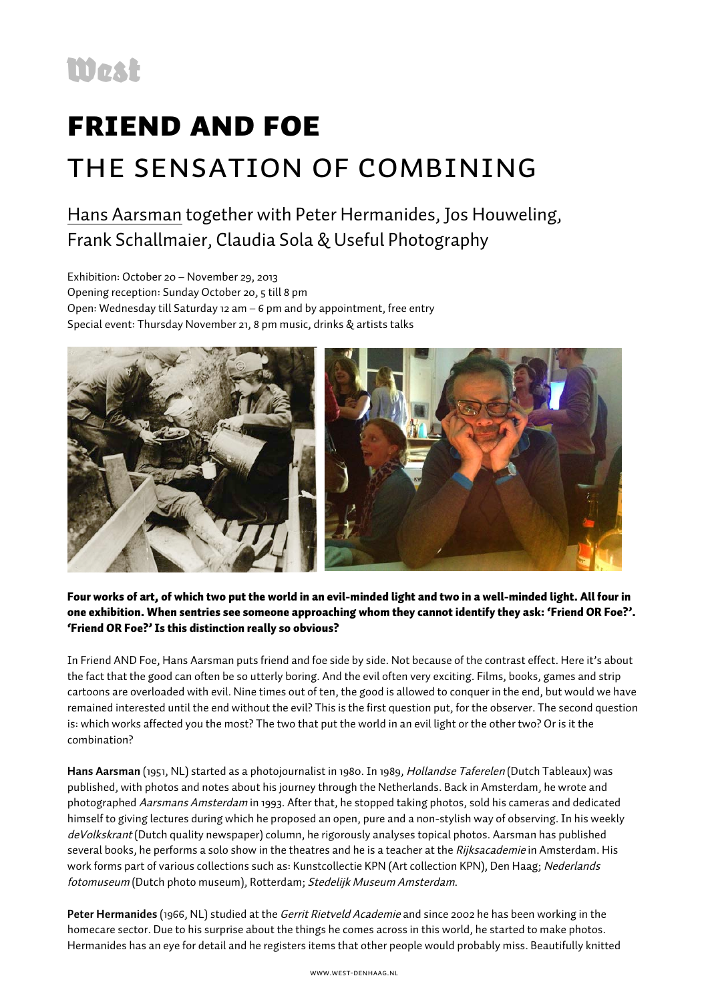## Friend and Foe the sensation of combining

## Hans Aarsman together with Peter Hermanides, Jos Houweling, Frank Schallmaier, Claudia Sola & Useful Photography

Exhibition: October 20 – November 29, 2013 Opening reception: Sunday October 20, 5 till 8 pm Open: Wednesday till Saturday 12 am – 6 pm and by appointment, free entry Special event: Thursday November 21, 8 pm music, drinks & artists talks



Four works of art, of which two put the world in an evil-minded light and two in a well-minded light. All four in one exhibition. When sentries see someone approaching whom they cannot identify they ask: 'Friend OR Foe?'. 'Friend OR Foe?' Is this distinction really so obvious?

In Friend AND Foe, Hans Aarsman puts friend and foe side by side. Not because of the contrast effect. Here it's about the fact that the good can often be so utterly boring. And the evil often very exciting. Films, books, games and strip cartoons are overloaded with evil. Nine times out of ten, the good is allowed to conquer in the end, but would we have remained interested until the end without the evil? This is the first question put, for the observer. The second question is: which works affected you the most? The two that put the world in an evil light or the other two? Or is it the combination?

**Hans Aarsman** (1951, NL) started as a photojournalist in 1980. In 1989, Hollandse Taferelen (Dutch Tableaux) was published, with photos and notes about his journey through the Netherlands. Back in Amsterdam, he wrote and photographed Aarsmans Amsterdam in 1993. After that, he stopped taking photos, sold his cameras and dedicated himself to giving lectures during which he proposed an open, pure and a non-stylish way of observing. In his weekly deVolkskrant (Dutch quality newspaper) column, he rigorously analyses topical photos. Aarsman has published several books, he performs a solo show in the theatres and he is a teacher at the Rijksacademie in Amsterdam. His work forms part of various collections such as: Kunstcollectie KPN (Art collection KPN), Den Haag; Nederlands fotomuseum (Dutch photo museum), Rotterdam; Stedelijk Museum Amsterdam.

**Peter Hermanides** (1966, NL) studied at the Gerrit Rietveld Academie and since 2002 he has been working in the homecare sector. Due to his surprise about the things he comes across in this world, he started to make photos. Hermanides has an eye for detail and he registers items that other people would probably miss. Beautifully knitted